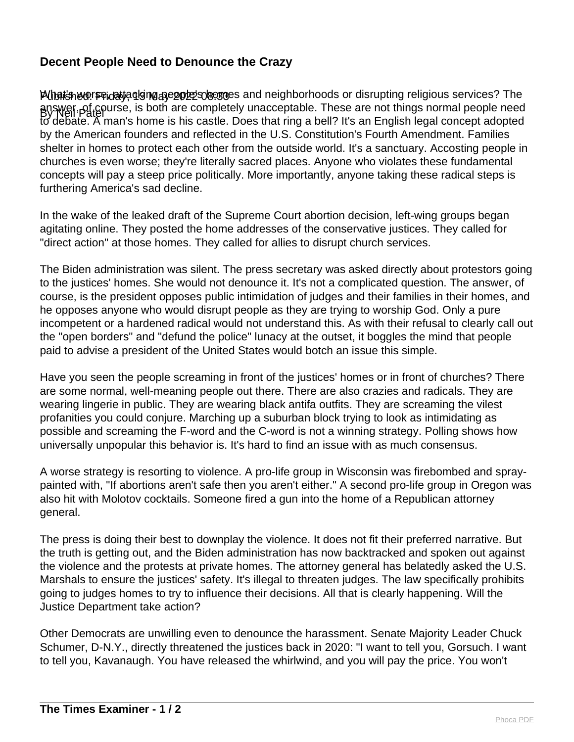## **Decent People Need to Denounce the Crazy**

Published: Friday, 13 May 2022 08:33 What's worse, attacking people's homes and neighborhoods or disrupting religious services? The By Neil Patel answer, of course, is both are completely unacceptable. These are not things normal people need to debate. A man's home is his castle. Does that ring a bell? It's an English legal concept adopted by the American founders and reflected in the U.S. Constitution's Fourth Amendment. Families shelter in homes to protect each other from the outside world. It's a sanctuary. Accosting people in churches is even worse; they're literally sacred places. Anyone who violates these fundamental concepts will pay a steep price politically. More importantly, anyone taking these radical steps is furthering America's sad decline.

In the wake of the leaked draft of the Supreme Court abortion decision, left-wing groups began agitating online. They posted the home addresses of the conservative justices. They called for "direct action" at those homes. They called for allies to disrupt church services.

The Biden administration was silent. The press secretary was asked directly about protestors going to the justices' homes. She would not denounce it. It's not a complicated question. The answer, of course, is the president opposes public intimidation of judges and their families in their homes, and he opposes anyone who would disrupt people as they are trying to worship God. Only a pure incompetent or a hardened radical would not understand this. As with their refusal to clearly call out the "open borders" and "defund the police" lunacy at the outset, it boggles the mind that people paid to advise a president of the United States would botch an issue this simple.

Have you seen the people screaming in front of the justices' homes or in front of churches? There are some normal, well-meaning people out there. There are also crazies and radicals. They are wearing lingerie in public. They are wearing black antifa outfits. They are screaming the vilest profanities you could conjure. Marching up a suburban block trying to look as intimidating as possible and screaming the F-word and the C-word is not a winning strategy. Polling shows how universally unpopular this behavior is. It's hard to find an issue with as much consensus.

A worse strategy is resorting to violence. A pro-life group in Wisconsin was firebombed and spraypainted with, "If abortions aren't safe then you aren't either." A second pro-life group in Oregon was also hit with Molotov cocktails. Someone fired a gun into the home of a Republican attorney general.

The press is doing their best to downplay the violence. It does not fit their preferred narrative. But the truth is getting out, and the Biden administration has now backtracked and spoken out against the violence and the protests at private homes. The attorney general has belatedly asked the U.S. Marshals to ensure the justices' safety. It's illegal to threaten judges. The law specifically prohibits going to judges homes to try to influence their decisions. All that is clearly happening. Will the Justice Department take action?

Other Democrats are unwilling even to denounce the harassment. Senate Majority Leader Chuck Schumer, D-N.Y., directly threatened the justices back in 2020: "I want to tell you, Gorsuch. I want to tell you, Kavanaugh. You have released the whirlwind, and you will pay the price. You won't